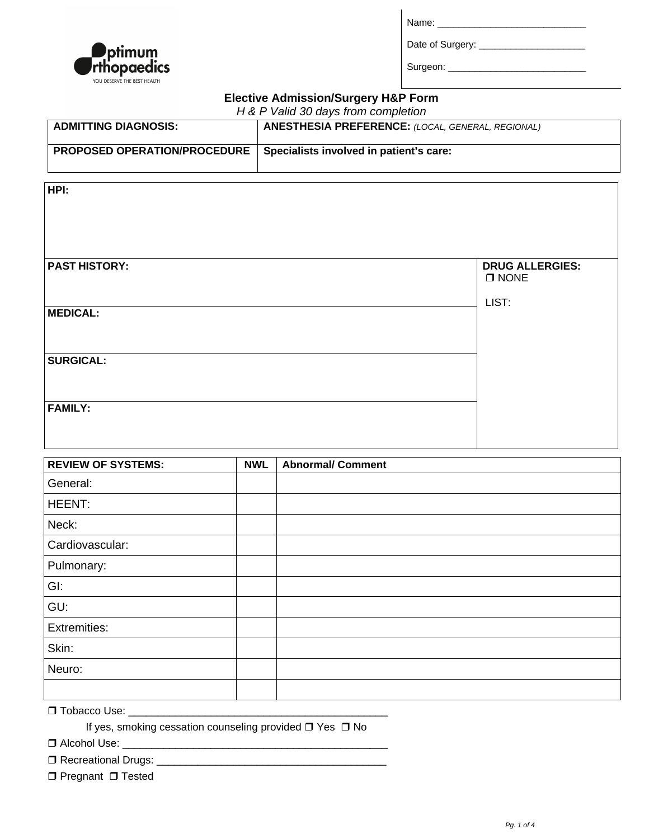|--|

Date of Surgery: \_\_\_\_\_\_\_\_\_\_\_\_\_\_\_\_\_\_\_\_

Surgeon: \_\_\_\_\_\_\_\_\_\_\_\_\_\_\_\_\_\_\_\_\_\_\_\_\_\_



| H & P Valid 30 days from completion |  |
|-------------------------------------|--|

| <b>ADMITTING DIAGNOSIS:</b>                                                 | <b>ANESTHESIA PREFERENCE:</b> (LOCAL, GENERAL, REGIONAL) |
|-----------------------------------------------------------------------------|----------------------------------------------------------|
| <b>PROPOSED OPERATION/PROCEDURE</b> Specialists involved in patient's care: |                                                          |

| HPI:                 |                                          |
|----------------------|------------------------------------------|
|                      |                                          |
|                      |                                          |
|                      |                                          |
| <b>PAST HISTORY:</b> | <b>DRUG ALLERGIES:</b><br>$\square$ NONE |
|                      | LIST:                                    |
| <b>MEDICAL:</b>      |                                          |
|                      |                                          |
| <b>SURGICAL:</b>     |                                          |
|                      |                                          |
|                      |                                          |
| <b>FAMILY:</b>       |                                          |
|                      |                                          |

| <b>REVIEW OF SYSTEMS:</b> | <b>NWL</b> | <b>Abnormal/ Comment</b> |
|---------------------------|------------|--------------------------|
| General:                  |            |                          |
| HEENT:                    |            |                          |
| Neck:                     |            |                          |
| Cardiovascular:           |            |                          |
| Pulmonary:                |            |                          |
| GI:                       |            |                          |
| GU:                       |            |                          |
| <b>Extremities:</b>       |            |                          |
| Skin:                     |            |                          |
| Neuro:                    |            |                          |
|                           |            |                          |

Tobacco Use: \_\_\_\_\_\_\_\_\_\_\_\_\_\_\_\_\_\_\_\_\_\_\_\_\_\_\_\_\_\_\_\_\_\_\_\_\_\_\_\_\_\_\_\_

If yes, smoking cessation counseling provided  $\Box$  Yes  $\Box$  No

Alcohol Use: \_\_\_\_\_\_\_\_\_\_\_\_\_\_\_\_\_\_\_\_\_\_\_\_\_\_\_\_\_\_\_\_\_\_\_\_\_\_\_\_\_\_\_\_\_

Recreational Drugs: \_\_\_\_\_\_\_\_\_\_\_\_\_\_\_\_\_\_\_\_\_\_\_\_\_\_\_\_\_\_\_\_\_\_\_\_\_\_\_

ptimum **rthopaedics** YOU DESERVE THE BEST HEALTH

**D** Pregnant **D** Tested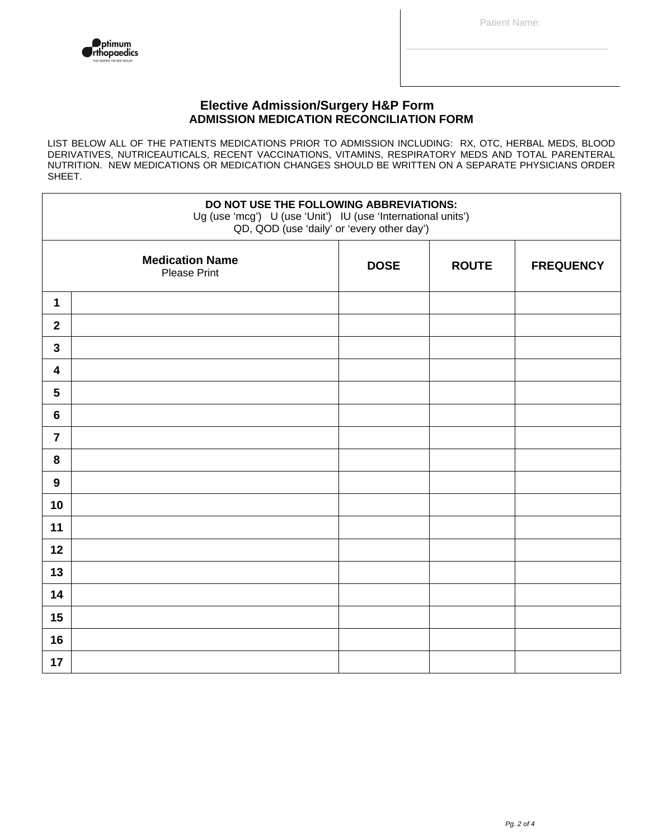Patient Name:



## **Elective Admission/Surgery H&P Form ADMISSION MEDICATION RECONCILIATION FORM**

LIST BELOW ALL OF THE PATIENTS MEDICATIONS PRIOR TO ADMISSION INCLUDING: RX, OTC, HERBAL MEDS, BLOOD DERIVATIVES, NUTRICEAUTICALS, RECENT VACCINATIONS, VITAMINS, RESPIRATORY MEDS AND TOTAL PARENTERAL NUTRITION. NEW MEDICATIONS OR MEDICATION CHANGES SHOULD BE WRITTEN ON A SEPARATE PHYSICIANS ORDER SHEET.

| DO NOT USE THE FOLLOWING ABBREVIATIONS:<br>Ug (use 'mcg') U (use 'Unit') IU (use 'International units')<br>QD, QOD (use 'daily' or 'every other day') |                                               |             |              |                  |  |  |  |
|-------------------------------------------------------------------------------------------------------------------------------------------------------|-----------------------------------------------|-------------|--------------|------------------|--|--|--|
|                                                                                                                                                       | <b>Medication Name</b><br><b>Please Print</b> | <b>DOSE</b> | <b>ROUTE</b> | <b>FREQUENCY</b> |  |  |  |
| 1                                                                                                                                                     |                                               |             |              |                  |  |  |  |
| $\mathbf{2}$                                                                                                                                          |                                               |             |              |                  |  |  |  |
| $\mathbf{3}$                                                                                                                                          |                                               |             |              |                  |  |  |  |
| $\overline{\mathbf{4}}$                                                                                                                               |                                               |             |              |                  |  |  |  |
| $5\phantom{.0}$                                                                                                                                       |                                               |             |              |                  |  |  |  |
| $6\phantom{1}$                                                                                                                                        |                                               |             |              |                  |  |  |  |
| $\overline{7}$                                                                                                                                        |                                               |             |              |                  |  |  |  |
| 8                                                                                                                                                     |                                               |             |              |                  |  |  |  |
| 9                                                                                                                                                     |                                               |             |              |                  |  |  |  |
| 10                                                                                                                                                    |                                               |             |              |                  |  |  |  |
| 11                                                                                                                                                    |                                               |             |              |                  |  |  |  |
| 12                                                                                                                                                    |                                               |             |              |                  |  |  |  |
| 13                                                                                                                                                    |                                               |             |              |                  |  |  |  |
| 14                                                                                                                                                    |                                               |             |              |                  |  |  |  |
| 15                                                                                                                                                    |                                               |             |              |                  |  |  |  |
| 16                                                                                                                                                    |                                               |             |              |                  |  |  |  |
| 17                                                                                                                                                    |                                               |             |              |                  |  |  |  |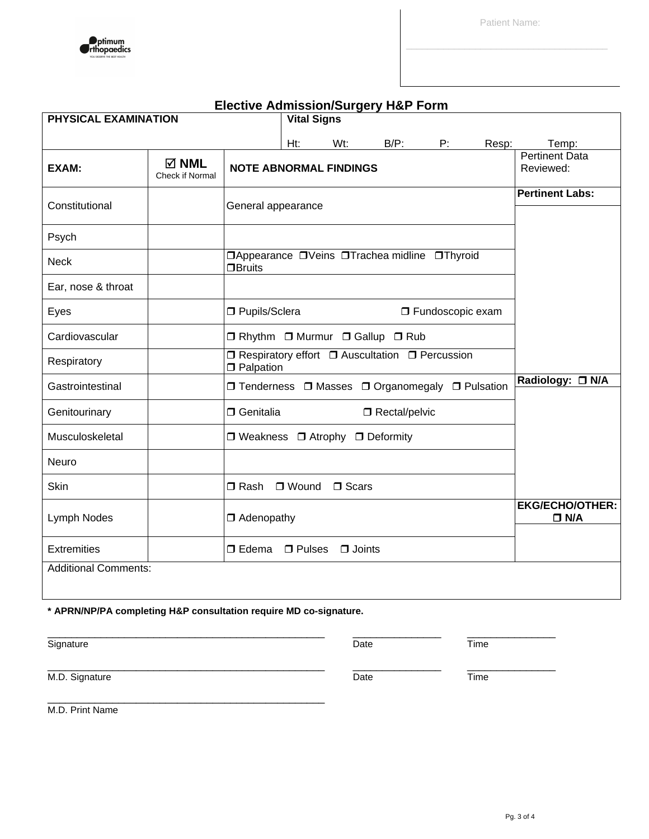Pg. 3 of 4



| primum<br><b>rthopaedics</b> |
|------------------------------|
|------------------------------|

# **Elective Admission/Surgery H&P Form**

| <b>PHYSICAL EXAMINATION</b> |                                    |                                  | <b>Vital Signs</b> |               |                                                  |                    |       |                                      |
|-----------------------------|------------------------------------|----------------------------------|--------------------|---------------|--------------------------------------------------|--------------------|-------|--------------------------------------|
|                             |                                    |                                  | Ht:                | Wt:           | $B/P$ :                                          | P:                 | Resp: | Temp:                                |
| <b>EXAM:</b>                | $\boxtimes$ NML<br>Check if Normal | <b>NOTE ABNORMAL FINDINGS</b>    |                    |               |                                                  |                    |       | <b>Pertinent Data</b><br>Reviewed:   |
| Constitutional              |                                    | General appearance               |                    |               |                                                  |                    |       | <b>Pertinent Labs:</b>               |
| Psych                       |                                    |                                  |                    |               |                                                  |                    |       |                                      |
| <b>Neck</b>                 |                                    | <b>OBruits</b>                   |                    |               | □ Appearance □ Veins □ Trachea midline □ Thyroid |                    |       |                                      |
| Ear, nose & throat          |                                    |                                  |                    |               |                                                  |                    |       |                                      |
| Eyes                        |                                    | □ Pupils/Sclera                  |                    |               |                                                  | □ Fundoscopic exam |       |                                      |
| Cardiovascular              |                                    |                                  |                    |               | □ Rhythm □ Murmur □ Gallup □ Rub                 |                    |       |                                      |
| Respiratory                 |                                    | $\Box$ Palpation                 |                    |               | □ Respiratory effort □ Auscultation □ Percussion |                    |       |                                      |
| Gastrointestinal            |                                    |                                  |                    |               | □ Tenderness □ Masses □ Organomegaly □ Pulsation |                    |       | Radiology: □ N/A                     |
| Genitourinary               |                                    | □ Genitalia                      |                    |               | □ Rectal/pelvic                                  |                    |       |                                      |
| Musculoskeletal             |                                    | □ Weakness □ Atrophy □ Deformity |                    |               |                                                  |                    |       |                                      |
| Neuro                       |                                    |                                  |                    |               |                                                  |                    |       |                                      |
| Skin                        |                                    | □ Rash                           | □ Wound            | $\Box$ Scars  |                                                  |                    |       |                                      |
| Lymph Nodes                 |                                    | $\Box$ Adenopathy                |                    |               |                                                  |                    |       | <b>EKG/ECHO/OTHER:</b><br>$\Box$ N/A |
| <b>Extremities</b>          |                                    | $\Box$ Edema                     | $\Box$ Pulses      | $\Box$ Joints |                                                  |                    |       |                                      |
| <b>Additional Comments:</b> |                                    |                                  |                    |               |                                                  |                    |       |                                      |

**\* APRN/NP/PA completing H&P consultation require MD co-signature.**

\_\_\_\_\_\_\_\_\_\_\_\_\_\_\_\_\_\_\_\_\_\_\_\_\_\_\_\_\_\_\_\_\_\_\_\_\_\_\_\_\_\_\_\_\_\_\_

Signature **Date Time** 

M.D. Signature Time

M.D. Print Name

\_\_\_\_\_\_\_\_\_\_\_\_\_\_\_\_\_\_\_\_\_\_\_\_\_\_\_\_\_\_\_\_\_\_\_\_\_\_\_\_\_\_\_\_\_\_\_ \_\_\_\_\_\_\_\_\_\_\_\_\_\_\_ \_\_\_\_\_\_\_\_\_\_\_\_\_\_\_

\_\_\_\_\_\_\_\_\_\_\_\_\_\_\_\_\_\_\_\_\_\_\_\_\_\_\_\_\_\_\_\_\_\_\_\_\_\_\_\_\_\_\_\_\_\_\_ \_\_\_\_\_\_\_\_\_\_\_\_\_\_\_ \_\_\_\_\_\_\_\_\_\_\_\_\_\_\_